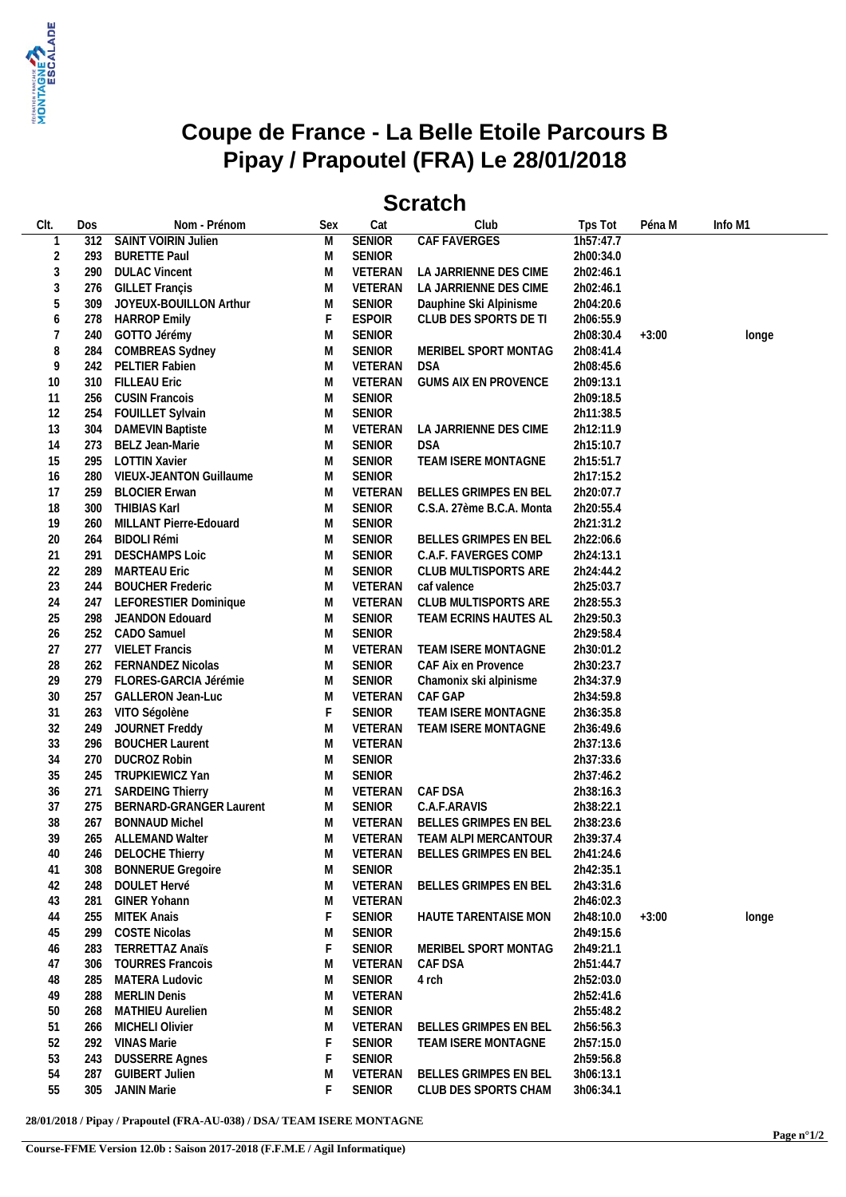

## **Coupe de France - La Belle Etoile Parcours B Pipay / Prapoutel (FRA) Le 28/01/2018**

## **Scratch**

| CIt.           | Dos | Nom - Prénom               | Sex | Cat           | Club                         | Tps Tot   | Péna M  | Info M1 |
|----------------|-----|----------------------------|-----|---------------|------------------------------|-----------|---------|---------|
| $\mathbf 1$    | 312 | <b>SAINT VOIRIN Julien</b> | M   | <b>SENIOR</b> | <b>CAF FAVERGES</b>          | 1h57:47.7 |         |         |
| $\overline{2}$ | 293 | <b>BURETTE Paul</b>        | M   | SENIOR        |                              | 2h00:34.0 |         |         |
| $\mathfrak{Z}$ | 290 | <b>DULAC Vincent</b>       | M   | VETERAN       | LA JARRIENNE DES CIME        | 2h02:46.1 |         |         |
| $\mathfrak{Z}$ | 276 | <b>GILLET Françis</b>      | M   | VETERAN       | LA JARRIENNE DES CIME        | 2h02:46.1 |         |         |
| 5              | 309 | JOYEUX-BOUILLON Arthur     | M   | <b>SENIOR</b> | Dauphine Ski Alpinisme       | 2h04:20.6 |         |         |
| 6              | 278 | <b>HARROP Emily</b>        | F   | <b>ESPOIR</b> | CLUB DES SPORTS DE TI        | 2h06:55.9 |         |         |
| $\overline{7}$ | 240 | GOTTO Jérémy               | M   | <b>SENIOR</b> |                              | 2h08:30.4 | $+3:00$ | longe   |
| 8              | 284 | COMBREAS Sydney            | M   | <b>SENIOR</b> | MERIBEL SPORT MONTAG         | 2h08:41.4 |         |         |
| 9              |     | PELTIER Fabien             | M   | VETERAN       | <b>DSA</b>                   |           |         |         |
|                | 242 |                            |     |               |                              | 2h08:45.6 |         |         |
| 10             | 310 | <b>FILLEAU Eric</b>        | M   | VETERAN       | <b>GUMS AIX EN PROVENCE</b>  | 2h09:13.1 |         |         |
| 11             | 256 | <b>CUSIN Francois</b>      | M   | <b>SENIOR</b> |                              | 2h09:18.5 |         |         |
| 12             | 254 | FOUILLET Sylvain           | M   | <b>SENIOR</b> |                              | 2h11:38.5 |         |         |
| 13             | 304 | <b>DAMEVIN Baptiste</b>    | M   | VETERAN       | LA JARRIENNE DES CIME        | 2h12:11.9 |         |         |
| 14             | 273 | BELZ Jean-Marie            | M   | <b>SENIOR</b> | <b>DSA</b>                   | 2h15:10.7 |         |         |
| 15             | 295 | <b>LOTTIN Xavier</b>       | M   | <b>SENIOR</b> | TEAM ISERE MONTAGNE          | 2h15:51.7 |         |         |
| 16             | 280 | VIEUX-JEANTON Guillaume    | M   | <b>SENIOR</b> |                              | 2h17:15.2 |         |         |
| 17             | 259 | <b>BLOCIER Erwan</b>       | M   | VETERAN       | BELLES GRIMPES EN BEL        | 2h20:07.7 |         |         |
| 18             | 300 | THIBIAS Karl               | M   | <b>SENIOR</b> | C.S.A. 27ème B.C.A. Monta    | 2h20:55.4 |         |         |
| 19             | 260 | MILLANT Pierre-Edouard     | M   | <b>SENIOR</b> |                              | 2h21:31.2 |         |         |
| 20             | 264 | <b>BIDOLI Rémi</b>         | M   | <b>SENIOR</b> | BELLES GRIMPES EN BEL        | 2h22:06.6 |         |         |
| 21             | 291 | <b>DESCHAMPS Loic</b>      | M   | <b>SENIOR</b> | C.A.F. FAVERGES COMP         | 2h24:13.1 |         |         |
| 22             | 289 | <b>MARTEAU Eric</b>        | M   | <b>SENIOR</b> | CLUB MULTISPORTS ARE         | 2h24:44.2 |         |         |
| 23             | 244 | <b>BOUCHER Frederic</b>    | M   | VETERAN       | caf valence                  | 2h25:03.7 |         |         |
| 24             | 247 | LEFORESTIER Dominique      | M   | VETERAN       | CLUB MULTISPORTS ARE         | 2h28:55.3 |         |         |
| 25             | 298 | JEANDON Edouard            | M   | <b>SENIOR</b> | TEAM ECRINS HAUTES AL        | 2h29:50.3 |         |         |
| 26             |     | 252 CADO Samuel            | M   | <b>SENIOR</b> |                              | 2h29:58.4 |         |         |
| 27             | 277 | <b>VIELET Francis</b>      | M   | VETERAN       | TEAM ISERE MONTAGNE          | 2h30:01.2 |         |         |
|                |     | <b>FERNANDEZ Nicolas</b>   |     | <b>SENIOR</b> |                              | 2h30:23.7 |         |         |
| 28             | 262 |                            | M   |               | CAF Aix en Provence          |           |         |         |
| 29             | 279 | FLORES-GARCIA Jérémie      | M   | SENIOR        | Chamonix ski alpinisme       | 2h34:37.9 |         |         |
| 30             | 257 | <b>GALLERON Jean-Luc</b>   | M   | VETERAN       | CAF GAP                      | 2h34:59.8 |         |         |
| 31             | 263 | VITO Ségolène              | F   | <b>SENIOR</b> | TEAM ISERE MONTAGNE          | 2h36:35.8 |         |         |
| 32             | 249 | JOURNET Freddy             | M   | VETERAN       | TEAM ISERE MONTAGNE          | 2h36:49.6 |         |         |
| 33             | 296 | <b>BOUCHER Laurent</b>     | M   | VETERAN       |                              | 2h37:13.6 |         |         |
| 34             | 270 | <b>DUCROZ Robin</b>        | M   | <b>SENIOR</b> |                              | 2h37:33.6 |         |         |
| 35             | 245 | TRUPKIEWICZ Yan            | M   | <b>SENIOR</b> |                              | 2h37:46.2 |         |         |
| 36             | 271 | <b>SARDEING Thierry</b>    | M   | VETERAN       | CAF DSA                      | 2h38:16.3 |         |         |
| 37             | 275 | BERNARD-GRANGER Laurent    | M   | SENIOR        | C.A.F.ARAVIS                 | 2h38:22.1 |         |         |
| 38             | 267 | <b>BONNAUD Michel</b>      | M   | VETERAN       | BELLES GRIMPES EN BEL        | 2h38:23.6 |         |         |
| 39             |     | 265 ALLEMAND Walter        | M   | VETERAN       | TEAM ALPI MERCANTOUR         | 2h39:37.4 |         |         |
| 40             |     | 246 DELOCHE Thierry        | M   | VETERAN       | BELLES GRIMPES EN BEL        | 2h41:24.6 |         |         |
| 41             | 308 | <b>BONNERUE Gregoire</b>   | M   | <b>SENIOR</b> |                              | 2h42:35.1 |         |         |
| 42             | 248 | <b>DOULET Hervé</b>        | M   | VETERAN       | BELLES GRIMPES EN BEL        | 2h43:31.6 |         |         |
| 43             | 281 | GINER Yohann               | M   | VETERAN       |                              | 2h46:02.3 |         |         |
| 44             | 255 | MITEK Anais                | F   | SENIOR        | HAUTE TARENTAISE MON         | 2h48:10.0 | $+3:00$ | longe   |
| 45             | 299 | <b>COSTE Nicolas</b>       | M   | <b>SENIOR</b> |                              | 2h49:15.6 |         |         |
| 46             | 283 | <b>TERRETTAZ Anaïs</b>     | F   | <b>SENIOR</b> | MERIBEL SPORT MONTAG         | 2h49:21.1 |         |         |
| 47             | 306 | <b>TOURRES Francois</b>    | M   | VETERAN       | CAF DSA                      | 2h51:44.7 |         |         |
| 48             | 285 | <b>MATERA Ludovic</b>      | M   | <b>SENIOR</b> | 4 rch                        | 2h52:03.0 |         |         |
|                |     |                            |     | VETERAN       |                              |           |         |         |
| 49             | 288 | <b>MERLIN Denis</b>        | M   |               |                              | 2h52:41.6 |         |         |
| 50             | 268 | <b>MATHIEU Aurelien</b>    | M   | SENIOR        |                              | 2h55:48.2 |         |         |
| 51             | 266 | MICHELI Olivier            | M   | VETERAN       | <b>BELLES GRIMPES EN BEL</b> | 2h56:56.3 |         |         |
| 52             | 292 | VINAS Marie                | F   | <b>SENIOR</b> | TEAM ISERE MONTAGNE          | 2h57:15.0 |         |         |
| 53             | 243 | <b>DUSSERRE Agnes</b>      |     | <b>SENIOR</b> |                              | 2h59:56.8 |         |         |
| 54             | 287 | <b>GUIBERT Julien</b>      | M   | VETERAN       | <b>BELLES GRIMPES EN BEL</b> | 3h06:13.1 |         |         |
| 55             | 305 | JANIN Marie                | F   | <b>SENIOR</b> | CLUB DES SPORTS CHAM         | 3h06:34.1 |         |         |
|                |     |                            |     |               |                              |           |         |         |

**28/01/2018 / Pipay / Prapoutel (FRA-AU-038) / DSA/ TEAM ISERE MONTAGNE**